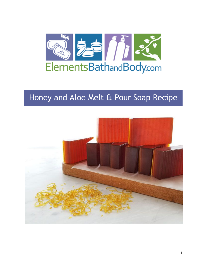

# Honey and Aloe Melt & Pour Soap Recipe

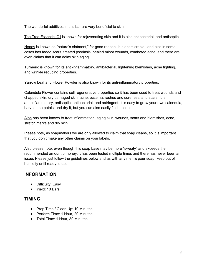The wonderful additives in this bar are very beneficial to skin.

Tea Tree Essential Oil is known for rejuvenating skin and it is also antibacterial, and antiseptic.

Honey is known as "nature's ointment," for good reason. It is antimicrobial, and also in some cases has faded scars, treated psoriasis, healed minor wounds, combated acne, and there are even claims that it can delay skin aging.

Turmeric is known for its anti-inflammatory, antibacterial, lightening blemishes, acne fighting, and wrinkle reducing properties.

Yarrow Leaf and Flower Powder is also known for its anti-inflammatory properties.

Calendula Flower contains cell regenerative properties so it has been used to treat wounds and chapped skin, dry damaged skin, acne, eczema, rashes and soreness, and scars. It is anti-inflammatory, antiseptic, antibacterial, and astringent. It is easy to grow your own calendula, harvest the petals, and dry it, but you can also easily find it online.

Aloe has been known to treat inflammation, aging skin, wounds, scars and blemishes, acne, stretch marks and dry skin.

Please note, as soapmakers we are only allowed to claim that soap cleans, so it is important that you don't make any other claims on your labels.

Also please note, even though this soap base may be more "sweaty" and exceeds the recommended amount of honey, it has been tested multiple times and there has never been an issue. Please just follow the guidelines below and as with any melt & pour soap, keep out of humidity until ready to use.

# **INFORMATION**

- Difficulty: Easy
- Yield: 10 Bars

## **TIMING**

- Prep Time / Clean Up: 10 Minutes
- Perform Time: 1 Hour, 20 Minutes
- Total Time: 1 Hour, 30 Minutes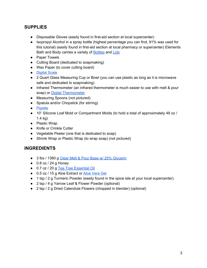# **SUPPLIES**

- Disposable Gloves (easily found in first-aid section at local supercenter)
- Isopropyl Alcohol in a spray bottle (highest percentage you can find, 91% was used for this tutorial) (easily found in first-aid section at local pharmacy or supercenter) Elements Bath and Body carries a variety of [Bottles](https://www.elementsbathandbody.com/8-oz-Clear-Bullet-Bottle.html) an[d](https://www.elementsbathandbody.com/24-410-Fine-Mist-Sprayer-6.625.html) [Lids](https://www.elementsbathandbody.com/24-410-Fine-Mist-Sprayer-6.625.html)
- Paper Towels
- Cutting Board (dedicated to soapmaking)
- Wax Paper (to cover cutting board)
- [Digital](https://www.elementsbathandbody.com/Scales/) Scale
- 2 Quart Glass Measuring Cup or Bowl (you can use plastic as long as it is microwave safe and dedicated to soapmaking)
- Infrared Thermometer (an infrared thermometer is much easier to use with melt & pour soap) or [D](https://www.elementsbathandbody.com/Digital-Pen-Thermometer.html)igital [Thermometer](https://www.elementsbathandbody.com/Digital-Pen-Thermometer.html)
- Measuring Spoons (not pictured)
- Spatula and/or Chopstick (for stirring)
- [Pipette](https://www.elementsbathandbody.com/Disposable-Pipettes-7-ml.html)
- 10" Silicone Loaf Mold or Compartment Molds (to hold a total of approximately 49 oz / 1.4 kg)
- Plastic Wrap
- Knife or Crinkle Cutter
- Vegetable Peeler (one that is dedicated to soap)
- Shrink Wrap or Plastic Wrap (to wrap soap) (not pictured)

## **INGREDIENTS**

- 3 lbs / 1360 [g](https://www.elementsbathandbody.com/melt-and-pour-soap-base-clear-w-25-glycerin.html) Clear Melt & Pour Base w/ 25% [Glycerin](https://www.elementsbathandbody.com/melt-and-pour-soap-base-clear-w-25-glycerin.html)
- $\bullet$  0.8 oz / 24 g Honey
- 0.7 oz / 20 g [T](https://www.elementsbathandbody.com/Tea-Tree-Essential-Oil.html)ea Tree [Essential](https://www.elementsbathandbody.com/Tea-Tree-Essential-Oil.html) Oil
- 0.5 oz / 15 g [A](https://www.elementsbathandbody.com/aloe-vera-gel-base.html)loe Extract or Aloe [Vera](https://www.elementsbathandbody.com/aloe-vera-gel-base.html) Gel
- 1 tsp / 2 g Turmeric Powder (easily found in the spice isle at your local supercenter)
- 2 tsp / 4 g Yarrow Leaf & Flower Powder (optional)
- 2 tsp / 2 g Dried Calendula Flowers (chopped in blender) (optional)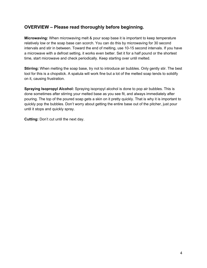# **OVERVIEW – Please read thoroughly before beginning.**

**Microwaving:** When microwaving melt & pour soap base it is important to keep temperature relatively low or the soap base can scorch. You can do this by microwaving for 30 second intervals and stir in between. Toward the end of melting, use 10-15 second intervals. If you have a microwave with a defrost setting, it works even better. Set it for a half pound or the shortest time, start microwave and check periodically. Keep starting over until melted.

**Stirring:** When melting the soap base, try not to introduce air bubbles. Only gently stir. The best tool for this is a chopstick. A spatula will work fine but a lot of the melted soap tends to solidify on it, causing frustration.

**Spraying Isopropyl Alcohol:** Spraying isopropyl alcohol is done to pop air bubbles. This is done sometimes after stirring your melted base as you see fit, and always immediately after pouring. The top of the poured soap gets a skin on it pretty quickly. That is why it is important to quickly pop the bubbles. Don't worry about getting the entire base out of the pitcher, just pour until it stops and quickly spray.

**Cutting:** Don't cut until the next day.